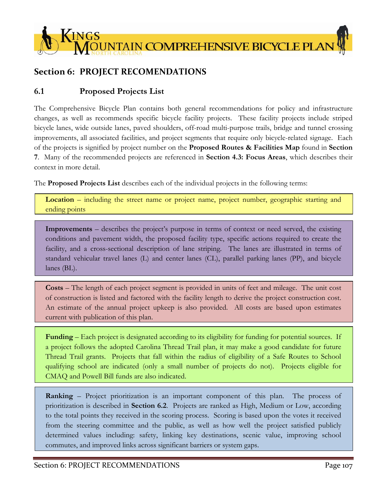

# **Section 6: PROJECT RECOMENDATIONS**

## **6.1 Proposed Projects List**

The Comprehensive Bicycle Plan contains both general recommendations for policy and infrastructure changes, as well as recommends specific bicycle facility projects. These facility projects include striped bicycle lanes, wide outside lanes, paved shoulders, off-road multi-purpose trails, bridge and tunnel crossing improvements, all associated facilities, and project segments that require only bicycle-related signage. Each of the projects is signified by project number on the **Proposed Routes & Facilities Map** found in **Section 7**. Many of the recommended projects are referenced in **Section 4.3: Focus Areas**, which describes their context in more detail.

The **Proposed Projects List** describes each of the individual projects in the following terms:

**Location** – including the street name or project name, project number, geographic starting and ending points

**Improvements** – describes the project's purpose in terms of context or need served, the existing conditions and pavement width, the proposed facility type, specific actions required to create the facility, and a cross-sectional description of lane striping. The lanes are illustrated in terms of standard vehicular travel lanes (L) and center lanes (CL), parallel parking lanes (PP), and bicycle lanes (BL).

**Costs** – The length of each project segment is provided in units of feet and mileage. The unit cost of construction is listed and factored with the facility length to derive the project construction cost. An estimate of the annual project upkeep is also provided. All costs are based upon estimates current with publication of this plan.

**Funding** – Each project is designated according to its eligibility for funding for potential sources. If a project follows the adopted Carolina Thread Trail plan, it may make a good candidate for future Thread Trail grants. Projects that fall within the radius of eligibility of a Safe Routes to School qualifying school are indicated (only a small number of projects do not). Projects eligible for CMAQ and Powell Bill funds are also indicated.

**Ranking** – Project prioritization is an important component of this plan. The process of prioritization is described in **Section 6.2**. Projects are ranked as High, Medium or Low, according to the total points they received in the scoring process. Scoring is based upon the votes it received from the steering committee and the public, as well as how well the project satisfied publicly determined values including: safety, linking key destinations, scenic value, improving school commutes, and improved links across significant barriers or system gaps.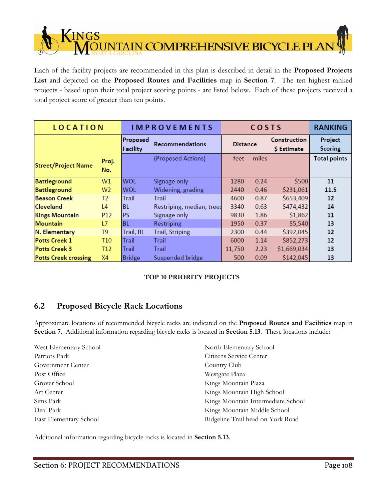**INGS JNTAIN COMPREHENSIVE BICYCLE PLAI** 

Each of the facility projects are recommended in this plan is described in detail in the **Proposed Projects List** and depicted on the **Proposed Routes and Facilities** map in **Section 7**. The ten highest ranked projects - based upon their total project scoring points - are listed below. Each of these projects received a total project score of greater than ten points.

| <b>LOCATION</b>             |                     |                             | <b>IMPROVEMENTS</b>       |                 | COSTS |                                    | <b>RANKING</b>            |
|-----------------------------|---------------------|-----------------------------|---------------------------|-----------------|-------|------------------------------------|---------------------------|
|                             |                     | Proposed<br><b>Facility</b> | Recommendations           | <b>Distance</b> |       | <b>Construction</b><br>\$ Estimate | Project<br><b>Scoring</b> |
| <b>Street/Project Name</b>  | Proj.<br>No.        |                             | (Proposed Actions)        | feet            | miles |                                    | <b>Total points</b>       |
| <b>Battleground</b>         | W1                  | <b>WOL</b>                  | Signage only              | 1280            | 0.24  | \$500                              | 11                        |
| <b>Battleground</b>         | W <sub>2</sub>      | <b>WOL</b>                  | Widening, grading         | 2440            | 0.46  | \$231,061                          | 11.5                      |
| <b>Beason Creek</b>         | T <sub>2</sub>      | Trail                       | Trail                     | 4600            | 0.87  | \$653,409                          | 12                        |
| <b>Cleveland</b>            | $\lfloor 4 \rfloor$ | <b>BL</b>                   | Restriping, median, trees | 3340            | 0.63  | \$474,432                          | 14                        |
| <b>Kings Mountain</b>       | P <sub>12</sub>     | <b>PS</b>                   | Signage only              | 9830            | 1.86  | \$1,862                            | 11                        |
| lMountain                   | L7                  | <b>BL</b>                   | Restriping                | 1950            | 0.37  | \$5,540                            | 13                        |
| N. Elementary               | T <sub>9</sub>      | Trail, BL                   | <b>Trail, Striping</b>    | 2300            | 0.44  | \$392,045                          | 12                        |
| <b>Potts Creek 1</b>        | T <sub>10</sub>     | Trail                       | Trail                     | 6000            | 1.14  | \$852,273                          | 12                        |
| <b>Potts Creek 3</b>        | T <sub>12</sub>     | Trail                       | Trail                     | 11,750          | 2.23  | \$1,669,034                        | 13                        |
| <b>Potts Creek crossing</b> | X4                  | <b>Bridge</b>               | Suspended bridge          | 500             | 0.09  | \$142,045                          | 13                        |

## **TOP 10 PRIORITY PROJECTS**

# **6.2 Proposed Bicycle Rack Locations**

Approximate locations of recommended bicycle racks are indicated on the **Proposed Routes and Facilities** map in **Section 7**. Additional information regarding bicycle racks is located in **Section 5.13**. These locations include:

West Elementary School Patriots Park Government Center Post Office Grover School Art Center Sims Park Deal Park East Elementary School North Elementary School Citizens Service Center Country Club Westgate Plaza Kings Mountain Plaza Kings Mountain High School Kings Mountain Intermediate School Kings Mountain Middle School Ridgeline Trail head on York Road

Additional information regarding bicycle racks is located in **Section 5.13**.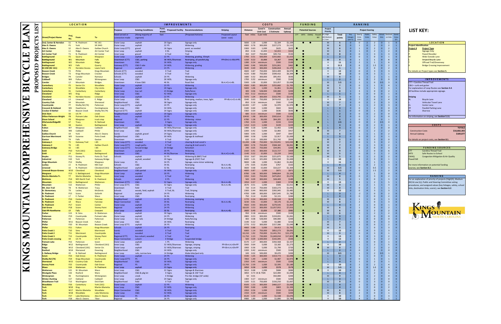| i  |                                                    |                                             |                                         |                              |
|----|----------------------------------------------------|---------------------------------------------|-----------------------------------------|------------------------------|
|    | coring                                             |                                             |                                         |                              |
| ic | Safety                                             | School                                      | Destinati                               | Scenic                       |
| :S | Value                                              | links                                       | on links                                | /alue                        |
|    | $\overline{2}$                                     | $\overline{0}$                              | $\overline{1}$                          | 0/1<br>$\overline{0}$        |
|    | 2                                                  | 0                                           | $\overline{\mathbf{c}}$                 | $\mathbf{1}$                 |
|    | $\overline{2}$                                     | $\overline{0}$                              | $\overline{2}$                          | 1                            |
|    | 2                                                  | $\overline{1}$                              | $\overline{\mathbf{c}}$                 | $\overline{0}$               |
|    | 3                                                  | 1                                           | 3                                       | 0                            |
|    | $\mathbf{0}$                                       | $\overline{0}$                              | $\overline{1}$                          | 0                            |
|    | $\mathbf{1}$                                       | 0                                           | 6                                       | 0                            |
|    | $\mathbf{1}$                                       | 1                                           | 6                                       | 0                            |
|    | 1.5                                                | $\overline{0}$                              | $\overline{\mathbf{c}}$                 | $\overline{0}$               |
|    | 0                                                  | 0                                           | $\overline{\mathbf{c}}$                 | 0                            |
|    | 3                                                  | 3                                           | 3                                       | $\mathbf{1}$                 |
|    | 3                                                  | $\overline{1}$                              | $\overline{1}$                          | $\overline{1}$               |
|    | 2                                                  | $\overline{1}$                              | $\mathbf{1}$                            | 0                            |
|    | $\overline{c}$                                     | 0                                           | 0                                       | 0                            |
|    | $\mathbf{0}$                                       | 0.5                                         | 3                                       | $\overline{0}$               |
|    | $\mathbf{1}$                                       | 0                                           | 4                                       | 1                            |
|    | $\mathbf{1}$                                       | $\overline{0}$                              | $\mathbf{1}$                            | 1                            |
|    | $\mathbf{0}$                                       | $\overline{0}$                              | $\overline{2}$                          | $\overline{1}$               |
|    | 0                                                  | 0                                           | $\mathbf{1}$                            | 0                            |
|    | 0                                                  | 0                                           | $\overline{\mathbf{c}}$                 | 0                            |
|    | 0                                                  | $\mathbf{1}$                                | 4                                       | 0                            |
|    | 2                                                  | 0                                           | 3                                       | 0                            |
|    | 2                                                  | $\overline{0}$                              | 3                                       | $\overline{0}$               |
|    | 2                                                  | $\mathbf{0}$                                | $\bf{0}$                                | 0                            |
|    | $\overline{1}$                                     | 0                                           | $\bf{0}$                                | 0                            |
|    | 2                                                  | $\overline{0}$                              | $\mathbf 0$                             | 0                            |
|    | 2                                                  | 0                                           | $\bf{0}$                                | $\mathbf{1}$                 |
|    | $\mathbf{1}$                                       | 0                                           | $\mathbf{1}$                            | $\mathbf{1}$                 |
|    | 2                                                  | 0.5                                         | 0                                       | $\overline{0}$               |
|    | 2                                                  | 0                                           | $\mathbf{1}$                            | 0                            |
|    | $\overline{2}$                                     | $\overline{0}$                              | $\overline{0}$                          | $\overline{0}$               |
|    | $\overline{\mathbf{c}}$                            | 2                                           | $\overline{\mathbf{c}}$                 | 0                            |
|    | $\mathbf{1}$                                       | $\mathbf{0}$                                | $\overline{\mathbf{c}}$                 | $\mathbf{1}$                 |
|    | $\overline{2}$                                     | $\overline{0}$                              | $\mathbf{1}$                            | $\overline{0}$               |
|    | 3                                                  | 0                                           | 0                                       | 1                            |
|    | 3                                                  | $\mathbf{0}$                                | $\overline{\mathbf{c}}$                 | $\mathbf{1}$                 |
|    | 3                                                  | 0                                           | $\overline{2}$                          | $\overline{1}$               |
|    | 0                                                  | 0                                           | 3                                       | 0                            |
|    | 0                                                  | 0                                           | 6                                       | 0                            |
|    | $\overline{2}$                                     | $\overline{1}$                              | $\overline{\mathbf{c}}$                 | $\overline{0}$               |
|    | 2                                                  | 0                                           | $\overline{\mathbf{c}}$                 | 0                            |
|    | 3                                                  | $\overline{0}$                              | $\mathbf{1}$                            | 1                            |
|    | $\overline{1}$                                     | 3                                           | 3                                       | $\overline{1}$               |
|    | 2                                                  | $\mathbf{1}$                                | $\mathbf{1}$                            | 0                            |
|    | 0.5                                                | 2                                           | 3                                       | $\overline{0}$               |
|    | 1.5                                                | 1                                           | $\overline{\mathbf{c}}$                 | 0                            |
|    | $\mathbf{1}$                                       | 0                                           | $\bf{0}$                                | 0                            |
|    | 3                                                  | $\overline{0}$                              | $\overline{\mathbf{c}}$                 | 1                            |
|    | 0                                                  | $\mathbf{1}$                                | 3                                       | 0                            |
|    | $\overline{2}$                                     | $\mathbf{1}$                                | 5                                       | $\mathbf{1}$                 |
|    | $\overline{1}$                                     | 1                                           | 3                                       | $\overline{0}$               |
|    | 3                                                  | 1                                           | $\mathbf{1}$                            | $\mathbf{1}$                 |
|    | 3                                                  | $\overline{1}$                              | 3                                       | $\mathbf{1}$                 |
|    | $\mathbf{0}$                                       | $\overline{0}$                              | $\overline{\mathbf{c}}$                 | $\overline{0}$               |
|    | 0                                                  | 0                                           | $\overline{\mathbf{c}}$                 | 0                            |
|    | $\mathbf{0}$                                       | $\overline{1}$                              | 3                                       | 0                            |
|    | 0                                                  | 1                                           | 3                                       | 0                            |
|    | 0                                                  | $\overline{0}$                              | $\mathbf{1}$                            | 0                            |
|    | 0                                                  | $\mathbf{0}$                                | $\overline{\mathbf{c}}$                 | $\mathbf{1}$                 |
|    | 2                                                  | $\mathbf{0}$                                | $\overline{\mathbf{c}}$                 | $\mathbf{0}$                 |
|    | 2                                                  | $\mathbf{1}$                                | $\overline{\mathbf{c}}$                 | $\mathbf{0}$                 |
|    | 0                                                  | 0                                           | O                                       | $\mathbf{0}$                 |
|    | $\overline{0}$                                     | $\overline{0}$                              | O                                       | $\mathbf{0}$                 |
|    | $\mathbf{0}$                                       | 3                                           | 3                                       | $\mathbf{0}$                 |
|    | 0                                                  | $\mathbf{1}$                                | $\overline{\mathbf{c}}$                 | $\bf{0}$                     |
|    | $\mathbf{0}$                                       | 3                                           | 3                                       | $\mathbf{0}$                 |
|    | 3                                                  | $\mathbf{1}$                                | 3                                       | $\mathbf{1}$                 |
|    | 3                                                  | $\mathbf{o}$                                | $\overline{1}$                          | $\mathbf{1}$                 |
|    | 3                                                  | $\mathbf{0}$                                | $\overline{\mathbf{c}}$                 | $\mathbf{1}$                 |
|    | 3<br>$\mathbf{0}$                                  | $\begin{matrix}0\\0\end{matrix}$            | $\overline{\mathbf{c}}$<br>$\mathbf{1}$ | $\mathbf{0}$<br>$\mathbf{0}$ |
|    | 2                                                  | $\mathbf{1}$                                | 5                                       | $\mathbf{0}$                 |
|    | $\overline{\mathbf{c}}$                            | 0                                           | $\overline{\mathbf{c}}$                 | $\bf{0}$                     |
|    | $\overline{\mathbf{c}}$<br>$\overline{\mathbf{c}}$ | $\begin{array}{c} 0 \\ 0.5 \end{array}$     | $\bf{0}$<br>$\mathbf{1}$                | $\mathbf{0}$<br>$\bf{0}$     |
|    | $\overline{0}$                                     | $\mathbf{0}$                                | $\mathbf{1}$                            | $\bf{0}$                     |
|    | $\mathbf{1}$                                       | $\mathbf{o}$                                | $\mathbf{1}$                            | $\mathbf{0}$                 |
|    | 2                                                  | $\mathbf{o}$                                | $\mathbf{1}$                            | $\mathbf{0}$                 |
|    | 2                                                  | $\mathbf{1}$                                | 4                                       | $\mathbf{1}$                 |
|    | 1.5                                                | $\mathbf{0}$                                | 3                                       | $\mathbf{0}$                 |
|    | $\frac{2}{2}$                                      | $\overline{\mathbf{c}}$<br>$\mathbf{0}$     | 5<br>$\mathbf{1}$                       | $\overline{0}$<br>$\bf{0}$   |
|    | $\overline{\mathbf{c}}$<br>$\overline{\mathbf{c}}$ | $\begin{matrix}0\\0\end{matrix}$            | $\overline{0}$<br>o                     | $\bf{0}$<br>$\mathbf{0}$     |
|    | 3<br>$\mathbf{0}$                                  | $\mathbf{0}$                                | 0<br>$\overline{\mathbf{c}}$            | $\mathbf{1}$<br>$\mathbf{1}$ |
|    | $\mathbf{0}$<br>$\mathbf{0}$                       | $\begin{smallmatrix}0\0\0\end{smallmatrix}$ | $\overline{\mathbf{c}}$<br>4            | $\mathbf{0}$<br>$\mathbf{1}$ |
|    | $\mathbf{0}$                                       | $\begin{matrix} 0 \\ 0 \\ 0 \end{matrix}$   | $\mathbf{1}$                            | $\mathbf{1}$                 |
|    | o<br>n                                             |                                             | 3<br>1                                  | $\mathbf{1}$<br>1            |

# **LIST KEY:**

| <b>LOCATION</b>               |                                             |  |  |  |  |  |  |  |  |
|-------------------------------|---------------------------------------------|--|--|--|--|--|--|--|--|
| <b>Project Identification</b> |                                             |  |  |  |  |  |  |  |  |
| <b>Project#</b>               | <b>Project Type</b>                         |  |  |  |  |  |  |  |  |
|                               | <b>Signage Only</b>                         |  |  |  |  |  |  |  |  |
|                               | <b>Paved Shoulder</b>                       |  |  |  |  |  |  |  |  |
|                               | <b>Wide Outside Lane</b>                    |  |  |  |  |  |  |  |  |
|                               | <b>Striped Bicycle Lane</b>                 |  |  |  |  |  |  |  |  |
|                               | <b>Offroad Trail/Greenway</b>               |  |  |  |  |  |  |  |  |
|                               | <b>Bridge Crossing Improvement</b>          |  |  |  |  |  |  |  |  |
|                               | For details on Project types see Section 5. |  |  |  |  |  |  |  |  |

| <b>IMPROVEMENTS</b><br>CTT = Carolina Thread Trail |                                                |  |  |  |  |  |  |  |  |  |
|----------------------------------------------------|------------------------------------------------|--|--|--|--|--|--|--|--|--|
| $C&G = \text{curl}$ and gutter                     |                                                |  |  |  |  |  |  |  |  |  |
| For explanation of Loop Routes see Section 4.4.    |                                                |  |  |  |  |  |  |  |  |  |
|                                                    | All facilities include appropriate signage.    |  |  |  |  |  |  |  |  |  |
|                                                    |                                                |  |  |  |  |  |  |  |  |  |
| <b>Striping</b>                                    |                                                |  |  |  |  |  |  |  |  |  |
| BL.                                                | <b>Bicycle Lane</b>                            |  |  |  |  |  |  |  |  |  |
|                                                    | <b>Vehicular Travel Lane</b>                   |  |  |  |  |  |  |  |  |  |
| CL.                                                | Center Lane                                    |  |  |  |  |  |  |  |  |  |
| PP                                                 | <b>Parallel Parking Lane</b>                   |  |  |  |  |  |  |  |  |  |
| Sh                                                 | Sharrow                                        |  |  |  |  |  |  |  |  |  |
|                                                    | For information on striping, see Section 5.11. |  |  |  |  |  |  |  |  |  |

#### **C OS T S**

|            | <b>TO</b> |
|------------|-----------|
| tion Costs | \$16,682  |
| pkeep      | \$189     |
|            |           |

|                    | <b>FUNDING SOURCES</b>                         |
|--------------------|------------------------------------------------|
| <b>CTT</b>         | Carolina Thread Trail                          |
| <b>SRTS</b>        | Safe Routes to School                          |
| <b>CMAQ</b>        | <b>Congestion Mitigation &amp; Air Quality</b> |
| <b>Powell Bill</b> |                                                |
|                    |                                                |
|                    |                                                |

# **LAN LE PL YCL E BIC H MP TAI Patte**<br>
Phife<br>
Phife<br>
Phife<br>
Phife **K**

|                                 | <b>TS</b> |                                                           |                                   | <b>LOCATION</b>                           |                                                  |                                         |                                | <b>IMPROVEMENTS</b>                |                                                        |                                    |                                | <b>COSTS</b>           |                                               |                      |                        | <b>FUNDING</b>               |                       |                                           |                                | RANKING                                   |                                                                      |                                                                       |                                                                                        |                                                                                                                     |
|---------------------------------|-----------|-----------------------------------------------------------|-----------------------------------|-------------------------------------------|--------------------------------------------------|-----------------------------------------|--------------------------------|------------------------------------|--------------------------------------------------------|------------------------------------|--------------------------------|------------------------|-----------------------------------------------|----------------------|------------------------|------------------------------|-----------------------|-------------------------------------------|--------------------------------|-------------------------------------------|----------------------------------------------------------------------|-----------------------------------------------------------------------|----------------------------------------------------------------------------------------|---------------------------------------------------------------------------------------------------------------------|
|                                 | −         |                                                           |                                   |                                           |                                                  | <b>Purpose</b>                          | <b>Existing Conditions</b>     | Pvmt.<br>Width                     | <b>Proposed Facility Recommendations</b>               | <b>Striping</b>                    | <b>Distance</b>                |                        | Const'n Construction<br>Unit Cost \$ Estimate | Annual<br>Upkeep     |                        | <b>Potential Sources</b>     | Project<br>Priority   |                                           |                                |                                           | <b>Project Scoring</b>                                               |                                                                       |                                                                                        | <b>LIST KEY:</b>                                                                                                    |
|                                 | S         | reet/Project Name                                         | Proj.                             | From                                      | To                                               | Need served or                          | (Along majority of             | feet                               | (Proposed Actions)                                     | <b>Proposed Layout</b>             |                                | feet miles \$ per mile |                                               |                      |                        | CTT SRTS CMAQ Powell<br>Bill | (H) High<br>M) Mediun | Total                                     | Key<br>linkage:                | Cmte.                                     | Value<br>Votes                                                       | Steer'g Public Safety School Destinati Scenic<br>links on links Value |                                                                                        |                                                                                                                     |
|                                 |           | nd, Center & Herndon                                      | S <sub>1</sub>                    | N. Piedmont                               | <b>NC161</b>                                     | onnection made<br>Outer Loop            | segment)<br>asphalt            | 20 Signs                           | Signage only                                           | (west - east)                      | 5830 1.10                      | 1,000                  | \$1,104                                       | \$1,104              |                        | $\bullet$ $\bullet$          | L) Low<br>M           | points<br>- 5                             | $(yes=1)$<br>$\mathbf{0}$      | Votes<br>$\mathbf{0}$                     | $\overline{2}$<br><sup>2</sup>                                       | $\overline{0}$                                                        | 0/1<br>$\overline{0}$                                                                  | <b>LOCATION</b>                                                                                                     |
| ◘.                              | щ         | lex D. Owens                                              | <b>P1</b>                         | York                                      | SR 2443                                          | Outer Loop                              | asphalt                        | 22 PS                              | Widening                                               |                                    | 4000 0.76                      | 300,000                | \$227,273                                     | \$1,515              |                        |                              | M                     |                                           |                                | $\mathbf{1}$                              | $\overline{2}$<br>$\mathbf{0}$                                       | $\mathbf{0}$                                                          | $2^{\circ}$<br>$\overline{1}$                                                          | <b>Project Identification</b>                                                                                       |
|                                 | C         | <mark>llex D. Owens</mark><br>rt Center                   | S <sub>2</sub><br>L1              | Alex D. Owens<br>Ridge                    | <b>Galilee Church</b><br><b>Art Center Trail</b> | Outer Loop (CTT<br>nner Loop            | gravel<br>asphalt              | 16 Signs<br>0B                     | pvmt. as needed<br>Striping                            |                                    | 3300 0.63<br>850 0.16          | 1,000<br>15,000        | \$625<br>\$2,415                              | \$625<br>\$322       |                        |                              | M<br>M                | 6                                         | $\mathbf{0}$                   | $1\,$<br>- 0<br><sup>1</sup>              | $\overline{2}$<br>$\overline{2}$<br>$\Omega$                         | $\Omega$                                                              | $2^{\circ}$<br>$\mathbf{1}$<br>$2^{\circ}$<br>$\overline{0}$                           | Project #<br><b>Project Type</b><br><b>Signage Only</b>                                                             |
| .<br>Т                          | $\sim$    | <b>Irt Center Trail</b><br>attleground                    | T1<br>P <sub>2</sub>              | N. Piedmont<br>Quarry                     | <b>Art Center</b><br>Margrace                    | Inner Loop<br>Outer Loop                | gravel<br>asphalt              | 0 Trail<br>22 PS                   | Trail<br>Widening, grading, 35mph                      |                                    | 350 0.07<br>2700 0.51          | 750,000<br>500,000     | \$49,716<br>\$255,682                         | \$530<br>\$1,023     |                        |                              | M<br>-L               | 8<br>$\overline{2}$                       | $\Omega$                       | $\overline{0}$<br>$\Omega$                | $\overline{3}$<br>$\overline{0}$                                     | $\Omega$                                                              | $\overline{\mathbf{3}}$<br>$\overline{0}$<br>$\mathbf{1}$<br>- 0                       | <b>Paved Shoulder</b><br><b>Wide Outside Lane</b>                                                                   |
|                                 | O         | attleground                                               | W1<br>W <sub>2</sub>              | Mountain<br>Mountain                      | Falls                                            | )owntown (CTT<br><b>Downtown</b>        | C&G, parking<br>C&G            | 38 WOL/Sharrows<br><b>26 WOL</b>   | Restriping, all parallel pkg                           | PP+Sh+L+L+Sh(+PP)                  | 1150 0.22<br>1280 0.24         | 15,000<br>minimum      | \$3,267<br>\$500                              | \$436<br>\$100       |                        |                              | M                     | 9<br>11                                   |                                | $\overline{2}$                            | 1<br>1                                                               |                                                                       | 6<br>$\mathbf{0}$<br>6<br>$\Omega$                                                     | <b>Striped Bicycle Lane</b><br><b>Offroad Trail/Greenway</b>                                                        |
|                                 | ⊏         | attleground<br>attleground                                | W <sub>3</sub>                    | Falls                                     | Ridge<br>Quarry                                  | Gateway (CTT)                           | C&G E side                     | <b>24 WOL</b>                      | Signage only<br>Widening, grading                      |                                    | 2440 0.46                      | 500,000                | \$231,061                                     | \$462                |                        |                              |                       | 11.5                                      |                                |                                           | 1.5                                                                  |                                                                       | $2^{\circ}$<br>$\Omega$                                                                | <b>Bridge Crossing Improvement</b>                                                                                  |
|                                 | ш<br>S    | 3C-KM (NC 161)<br><b>Beason Creek</b>                     | P <sub>3</sub><br>T2              | <b>Herndon Access</b><br>Phifer           | Lewis Farm<br><b>Kings Mountain</b>              | egional<br>Schools (CTT)                | asphalt<br>wooded              | 23 PS<br>0 Trail                   | Widening<br>Trail                                      |                                    | 3640 0.69<br>4600 0.87         | 300,000<br>750,000     | \$206,818<br>\$653,409                        | \$1,379<br>\$6,970   | $\bullet$<br>$\bullet$ |                              | <b>M</b>              | 5 <sub>5</sub><br>12                      |                                | $\mathbf{0}$<br>$\mathbf{0}$              | $\mathbf{0}$<br>$\overline{3}$                                       |                                                                       | $\overline{2}$<br>$\overline{\mathbf{0}}$<br>3 <sup>7</sup>                            | For details on Project types see Section 5.                                                                         |
|                                 | C         | <b>Beason Creek</b><br>ridges                             | T3<br><b>P4</b>                   | <b>Kings Mountain</b><br>Cansler          | Crocker<br>Ramseur                               | Schools (CTT)<br><b>Schools</b>         | wooded<br>asphalt              | 0 Trail<br>20 PS                   | Trail<br>Widening                                      |                                    | 4220 0.80<br>1680 0.32         | 750,000<br>300,000     | \$599,432<br>\$95,455                         | \$6,394<br>\$636     | $\bullet$              |                              | <b>M</b>              | 10<br>6                                   | $\mathbf{0}$                   | $\overline{0}$<br>$\mathbf{1}$            | $\overline{3}$<br>$\overline{2}$                                     |                                                                       | $\mathbf{1}$<br>$\mathbf{1}$<br>$\overline{\mathbf{0}}$                                |                                                                                                                     |
|                                 | ≏         | aldwell<br>Cansler                                        | W <sub>4</sub><br>12              | Fulton<br>Mountain                        | Wintergreen<br><b>Bridges</b>                    | Inner Loop<br>Downtown                  | C&G<br>4 lane C&G              | <b>26 WOL</b><br>46 BL             | Signage only<br><b>Road Diet</b>                       | BL+L+CL+L+BL                       | 1700 0.32<br>5300 1.00         | minimum<br>15,000      | \$500<br>\$15,057                             | \$100<br>\$2,008     |                        |                              | $\mathbf{L}$<br>M     | $\overline{\mathbf{2}}$<br>5.5            |                                | $\Omega$<br>$\mathbf{1}$                  | $\overline{2}$<br>$\mathbf{0}$                                       | 0.5                                                                   | $\overline{0}$<br>$\Omega$<br>$\overline{3}$<br>$\overline{0}$                         | <b>IMPROVEMENTS</b><br>CTT = Carolina Thread Trail                                                                  |
|                                 | 0         | anterbury                                                 | P <sub>5</sub>                    | <b>Senior Ctr</b>                         | Woodlake                                         | <b>Outer Loop</b>                       | asphalt                        | 23 PS                              | Widening                                               |                                    | 4500 0.85                      | 300,000                | \$255,682                                     | \$1,705              |                        |                              | M                     | $\overline{7}$                            |                                | $\mathbf 0$                               | 1                                                                    |                                                                       | $\overline{4}$<br>$\overline{1}$                                                       | $C&G = \text{curl}$ and gutter                                                                                      |
| M                               | $\Delta$  | anterbury<br><b>Canterbury</b>                            | <b>S3</b><br>X1                   | Woodlake<br>Canterbury                    | <b>City Limits</b><br>Canterbury                 | Regional<br><b>Outer Loop</b>           | asphalt<br>low rail            | 20 Signs<br>23 Bridge              | Signage only<br>Rails/fence                            |                                    | 5600 1.06<br>300 0.06          | 1,000<br>528,000       | \$1,061<br>\$30,000                           | \$1,061<br>\$200     | $\bullet$<br>۰         |                              | M<br>M                | 5<br>8                                    |                                | $\Omega$<br>$\overline{3}$                | $\overline{1}$<br>$\overline{0}$                                     | $\Omega$                                                              | $\overline{1}$<br>$\mathbf{1}$<br>$2^{\circ}$<br>$\overline{1}$                        | For explanation of Loop Routes see Section 4.4.<br>All facilities include appropriate signage.                      |
| r                               |           | leveland:<br><b>Cleveland</b>                             | W <sub>5</sub>                    | <b>King</b><br><b>Herndon Access</b>      | Ridge<br>Linwood                                 | nner Loop<br>Outer Loop                 | C&G<br>asphalt                 | 42 WOL<br>22 PS                    | Signage only<br>Widening                               |                                    | 650 0.12<br>5470 1.04          | minimum<br>300,000     | \$500<br>\$310,795                            | \$100<br>\$2,072     | $\bullet$              |                              | -L<br>M               | $\mathbf{1}$<br>- 5                       | $\overline{0}$                 | $\mathbf{0}$<br>$\mathbf{1}$              | $\mathbf{0}$<br>$\Omega$                                             |                                                                       | $\mathbf{1}$<br>$\overline{\mathbf{0}}$<br>$2^{\circ}$<br>$\Omega$                     | <b>Striping</b>                                                                                                     |
|                                 |           | <b>Cleveland</b><br><b>Country Club</b>                   | L <sub>3</sub><br>S <sub>4</sub>  | Linwood<br>Mountain                       | E. Ridge<br>Sherwood                             | Outer Loop<br>Neighborhood              | C&G<br>C&G                     | 50 BL<br>38 Signs                  | Restriping, median, trees, light                       | PP+BL+L+CL+L+BL                    | 3340 0.63<br>850 0.16          | 750,000<br>minimum     | \$474,432<br>\$500                            | \$1,265<br>\$100     |                        |                              | <b>M</b>              | 14<br>$\overline{7}$                      |                                | $\mathbf 0$                               | $\mathbf{0}$<br>$\overline{2}$                                       |                                                                       | $\overline{4}$<br>$\overline{0}$<br>$\overline{3}$                                     | <b>Bicycle Lane</b><br>Vehicular Travel Lane                                                                        |
|                                 |           | Countryside                                               | P7                                | Shelby Rd (74)                            | Patterson                                        | Outer Loop (CTT                         | asphalt                        | 24 PS                              | Signage only<br>Signage only                           |                                    | 0,400 1.97                     | 1,000                  | \$1,970                                       | \$1,970              |                        |                              | M                     | $\overline{7}$                            | $\Omega$                       | $\mathbf{1}$                              | $\overline{2}$                                                       |                                                                       | $\overline{3}$<br>$\Omega$                                                             | Center Lane                                                                                                         |
|                                 |           | <b>Crescent &amp; Oakland</b><br><b>Crocker El Bethel</b> | W <sub>6</sub><br>S <sub>5</sub>  | Hawthorne<br><b>Beason Creek</b>          | Huntingtowne<br>Shelby Rd (74)                   | Inner Loop<br>Regional (CTT)            | C&G<br>asphalt                 | 34 WOL<br>20 Signs                 | Signage only<br>Signage only                           |                                    | 3180 0.60<br>3360 0.64         | 1,000<br>1,000         | \$602<br>\$636                                | \$602<br>\$636       |                        |                              |                       | $\overline{\mathbf{3}}$                   |                                | $\mathbf{0}$<br>$\Omega$                  | $\overline{2}$<br>1                                                  |                                                                       | $\mathbf{0}$<br>$\overline{\mathbf{0}}$<br>$\overline{0}$<br>$\overline{\mathbf{0}}$   | <b>Parallel Parking Lane</b><br>Sharrow                                                                             |
| S                               |           | Dick Elam<br>Dillon-Patterson-Wright                      | <b>S6</b><br>P <sub>8</sub>       | <b>US-74</b><br><b>Putnam Lake</b>        | creek<br>Oak Grove                               | Neighborhood<br>Scenic                  | asphalt<br>asphalt             | 20 Signs<br>20 PS                  | Signage only<br>Widening                               |                                    | 680 0.13<br>10430 1.98         | minimum<br>300,000     | \$500<br>\$592,614                            | \$100<br>\$3,951     |                        |                              |                       | $\overline{2}$<br>$\overline{4}$          |                                | $\Omega$                                  | $\overline{2}$                                                       |                                                                       | $\overline{0}$<br>$\Omega$<br>$\mathbf{0}$                                             | For information on striping, see Section 5.11.                                                                      |
|                                 |           | <b>Dixon School</b><br><b>IlisCanslerRidgeRR</b>          | P <sub>9</sub><br><b>S7</b>       | Margrace<br>Tracy                         | truck stop<br>N. Railroad                        | Regional<br>Downtown                    | PS<br>C&G                      | 22 PS<br>0 Signs                   | Widening - minor<br>Signage only                       |                                    | 6780 1.28<br>1760 0.33         | 50,000<br>1,000        | \$64,205<br>\$333                             | \$2,568<br>\$333     |                        |                              |                       | -5<br>2.5                                 | $\Omega$                       | $\Omega$<br>$\mathbf{0}$                  | $\overline{1}$<br>$\overline{2}$                                     | 0.5                                                                   | $\mathbf{1}$<br>$\overline{0}$<br>$\overline{0}$                                       |                                                                                                                     |
| <u>ר ז</u>                      |           | alls                                                      | S <sub>8</sub>                    | Gaston                                    | Battleground                                     | nner Loop                               | asphalt                        | 22 Signs                           | Signage only                                           |                                    | 1210 0.23                      | 1,000                  | \$229                                         | \$229                |                        |                              |                       | $\overline{\mathbf{3}}$                   |                                | $\mathbf{0}$                              | $\overline{2}$                                                       |                                                                       | $\mathbf{1}$<br>$\overline{\mathbf{0}}$                                                | <b>COSTS</b>                                                                                                        |
|                                 |           | <b>Fulton</b><br>ulton                                    | W7<br>W8                          | Margrace<br>Caldwell                      | Caldwell<br>Phifer                               | Neighborhood<br>nner Loop               | C&G<br>C&G                     | 30 WOL/Sharrows<br>30 WOL/Sharrows | Signage only<br>Signage only                           |                                    | 1480 0.28<br>2200 0.42         | 5,000<br>5,000         | \$1,402<br>\$2,083                            | \$280<br>\$417       |                        | $\bullet$                    | M                     | $\overline{a}$                            |                                | $\Omega$<br>$\mathbf{0}$                  | $\overline{2}$<br>$\overline{2}$                                     |                                                                       | $\overline{0}$<br>$\overline{0}$<br>$\overline{2}$<br>$\overline{0}$                   | <b>TOTALS</b><br>\$16,682,303<br><b>Construction Costs</b>                                                          |
|                                 |           | <b>Galilee Church</b><br><b>Garrison Merrimont</b>        | <b>S9</b><br>W9                   | York<br>Suzanne                           | Alex D. Owens<br><b>Potts Creek</b>              | Scenic<br>Neighborhood                  | asphalt, gravel<br>C&G         | 24 Signs<br>30 WOL                 | Signage only<br>Signage & trailhead                    |                                    | 5000 0.95<br>3080 0.58         | 1,000<br>5,000         | \$947<br>\$2,917                              | \$947<br>\$1,000     |                        |                              | M<br>-L               | $\overline{\mathbf{3}}$                   |                                | $\mathbf{1}$<br>$\mathbf{0}$              | 1<br>$\overline{2}$                                                  |                                                                       | $2^{\circ}$<br>$\overline{1}$<br>$\mathbf{1}$<br>$\overline{0}$                        | \$189,877<br>Annual Upkeep                                                                                          |
| <u>іт)</u>                      |           | Gaston<br>Gateway 1                                       | T4<br>T <sub>5</sub>              | Falls<br><b>Gateway Trail</b>             | Gaston<br>$1-85$                                 | Downtown<br>Outer Loop (CTT             | wooded<br>wooded               | 0 Trail<br>0 Trail                 | Trail<br>clearing & trail const'n                      |                                    | 620 0.12<br>5,200 2.88         | 100,000<br>750,000     | \$11,742<br>\$2,159,091                       | \$939<br>\$23,030    |                        |                              | M<br>M                | $\overline{7}$                            |                                | $\mathbf{0}$<br>$\mathbf{0}$              |                                                                      |                                                                       | $\mathbf{0}$<br>$2^{\circ}$<br>$\overline{1}$                                          | For details on project costs, see Section 8.1.                                                                      |
| $\boldsymbol{\underline{\sim}}$ |           | Gateway 2                                                 | T <sub>6</sub>                    | $1 - 85$                                  | <b>Galilee Church</b>                            | Outer Loop (CTT)                        | rough paths                    | 0 Trail                            | clearing & trail const'n                               |                                    | 4000 0.76                      | 750,000                | \$568,182                                     | \$6,061              |                        |                              | M                     | $\overline{7}$                            |                                | $\mathbf{0}$                              | $\mathbf{R}$                                                         |                                                                       | $\overline{2}$<br>$\overline{1}$                                                       |                                                                                                                     |
|                                 |           | <b>Gateway Bridge</b><br>bloa                             | X2<br><b>P10</b>                  | $1 - 85$<br><b>York (161)</b>             | $I-85$<br>Gaston                                 | Outer Loop (CTT)<br>Downtown            | fenced bridge<br>asphalt       | 20 Bridge<br>20 PS                 | Refurbish<br>Widening                                  |                                    | 240 0.05<br>2160 0.41          | 750,000<br>300,000     | \$34,091<br>\$122,727                         | \$200<br>\$409       | $\bullet$              |                              | M<br>M                | 6<br>9                                    | $\Omega$                       | $\mathbf{0}$<br>$\mathbf{1}$              | $\mathbf{0}$<br>$\mathbf{0}$                                         |                                                                       | $\overline{3}$<br>$\overline{\mathbf{0}}$<br>6<br>- 0                                  | <b>FUNDING SOURCES</b><br><b>Carolina Thread Trail</b>                                                              |
| $\blacksquare$                  |           | Gold<br>Hoyles                                            | $\mathsf{L}4$<br><b>P11</b>       | Gaston<br>Stoney Pt.                      | Battleground<br>Potts Ck. Trail                  | Downtown<br><b>Schools</b>              | C&G<br>asphalt                 | 44 BL/Sharrow<br>32 PS             | Restriping<br>Widening & (800') Trail                  | BL+L+CL+L+BL                       | 1140 0.22<br>3550 0.67         | 15,000<br>330,000      | \$3,239<br>\$221,875                          | \$432<br>\$2,500     |                        |                              | M<br><b>M</b>         | 5<br>5                                    |                                | $\Omega$<br>$\mathbf 0$                   | $\overline{2}$<br>$\overline{2}$                                     |                                                                       | $\overline{2}$<br>$\overline{\mathbf{0}}$<br>$\overline{2}$<br>$\overline{\mathbf{0}}$ | <b>SRTS</b><br>Safe Routes to School<br><b>CMAQ</b><br>Congestion Mitigation & Air Quality                          |
| $\boldsymbol{\Sigma}$           |           | ndustrial<br><b>Kings Mountain</b>                        | <b>S10</b><br>P <sub>12</sub>     | York<br>Shelby                            | <b>Gateway Bridge</b><br>Margrace                | Outer Loop                              | asphalt, wooded<br><b>PS</b>   | 20 Signs<br>34 PS                  | Signage & (250') Trail<br>Signage, some minor widening |                                    | 6400 1.21<br>9830 1.86         | 325,000<br>1,000       | \$393,939<br>\$1,862                          | \$1,600<br>\$1,862   |                        |                              |                       | 10<br>11                                  |                                | $\overline{3}$<br>$\mathbf{1}$            | $\overline{3}$<br>1                                                  |                                                                       | $\mathbf{1}$<br>$\overline{1}$<br>$\overline{\mathbf{3}}$                              | <b>Powell Bill</b>                                                                                                  |
|                                 |           | Lackey                                                    | L5                                | N. Piedmont                               | <b>NES trail</b>                                 | <b>Schools</b>                          | C&G                            | 34 BL                              | Restriping                                             | BL+L+L+BL                          | 270 0.05                       | 15,000                 | \$767                                         | \$102                |                        |                              | -L                    | $\overline{a}$                            |                                | $\mathbf{0}$                              | $\overline{2}$                                                       |                                                                       | $\mathbf{1}$<br>$\overline{\mathbf{0}}$                                                | For more information on potential funding                                                                           |
|                                 |           | .inwood<br>inwood-Boyce-Groves                            | 16<br>W10                         | N. Piedmont<br>Cleveland                  | Cleveland (161)<br>Cleveland                     | Neighborhood<br>eighborhooc             | asphalt<br>C&G partial         | 32 BL<br><b>36 WOL</b>             | Restriping<br>Signage only                             | BL+L+L+BL                          | 3600 0.68<br>4600 0.87         | 15,000<br>1,000        | \$10,227<br>\$871                             | \$1,364<br>\$871     |                        |                              | M<br>M                | 6.5<br>5.5                                |                                | $\Omega$<br>$\mathbf{0}$                  | 0.5<br>1.5                                                           |                                                                       | 3 <sup>7</sup><br>$\Omega$<br>$2^{\circ}$<br>$\overline{0}$                            | sources, see Section 8.2.                                                                                           |
| $\tilde{}$                      |           | Margrace<br>Martin-Marietta Tr.                           | P <sub>13</sub><br>T <sub>7</sub> | S. Battleground<br>Martin-Marietta        | <b>Kings Mountain</b><br>Gaston                  | <b>Outer Loop</b><br>nner Loop          | asphalt<br>wooded              | 20 PS<br>0 Trail                   | Widening<br>Trail                                      |                                    | 8780 1.66<br>3350 0.63         | 300,000<br>750,000     | \$498,864<br>\$475,852                        | \$3,326<br>\$5,076   |                        |                              | M                     | $\overline{a}$<br>8                       | $\Omega$                       | $1\,$<br>$\mathbf{0}$                     | 1<br>$\overline{3}$                                                  | $\Omega$                                                              | $\overline{0}$<br>$\overline{\mathbf{0}}$<br>$2^{\circ}$<br>$\overline{1}$             | RANKING                                                                                                             |
|                                 |           | <b>McGinnis</b><br><b>Mountain</b>                        | P <sub>14</sub><br>S11            | <b>NES North Trail</b><br>Battleground    | N. Piedmont<br>Watterson                         | <b>Schools</b><br>Downtown (CTT)        | asphalt<br>C&G                 | 0 <sub>PS</sub><br>32 Signs        | Widening<br>Signage only                               | BL+L+L+BL                          | 500 0.09<br>1950 0.37          | 300,000<br>1,000       | \$28,409<br>\$369                             | \$189<br>\$739       |                        |                              | M                     | 5<br>13                                   |                                | $\mathbf{1}$<br>$\overline{2}$            | $\mathbf{0}$<br>$\overline{2}$                                       |                                                                       | $\overline{0}$<br>$\overline{3}$<br>5 <sup>5</sup><br>$\mathbf{1}$                     | For an explanation of priority of projects (High(H), Medium<br>(M) & Low (L)), Public and Steering Committee voting |
|                                 |           | Mountain                                                  | S12                               | Watterson                                 | Phifer                                           | Inner Loop (CTT)                        | C&G                            | 32 Signs                           | Signage only                                           | BL+L+L+BL                          | 2670 0.51                      | 1,000                  | \$506                                         | \$1,011              |                        | $\bullet$                    | M                     | 9                                         | $\mathbf{0}$                   | $\overline{2}$                            | 1                                                                    |                                                                       | $\overline{\mathbf{3}}$<br>$\overline{0}$                                              | procedures, and assigned values (key linkages, safety, school                                                       |
|                                 |           | <b>Mt. Zion Trail</b><br>N. Elementary                    | T <sub>8</sub><br>T9              | N. Watterson<br>Lackey                    | Tracy<br><b>McGinnis</b>                         | Downtown<br>Schools                     | field<br>woods, field, asphalt | 0 Trail<br>0 Trail, BL             | Trail<br>Trail, Striping                               |                                    | 720 0.14<br>2300 0.44          | 750,000<br>900,000     | \$102,273<br>\$392,045                        | \$1,091<br>\$3,485   |                        |                              | M                     | 8<br>12                                   |                                | $\mathbf{0}$<br>$\mathbf{0}$              |                                                                      |                                                                       | 1<br>$\mathbf{1}$<br>$\overline{3}$<br>$\overline{1}$                                  | links, destination links, scenic), see Section 6.2.                                                                 |
|                                 |           | <b>V. Piedmont</b><br>. Piedmont                          | P <sub>15</sub><br>17             | Scism<br>E. Parker                        | Goforth<br>Waco                                  | Regional<br>Inner Loop                  | asphalt<br>C&G                 | 24 PS<br>36 BL                     | Widening<br>Restriping                                 |                                    | 4700 0.89<br>750 0.14          | 300,000<br>15,000      | \$267,045<br>\$2,131                          | \$1,780<br>\$284     |                        |                              |                       | $\overline{\mathbf{3}}$<br>$\overline{4}$ | $\overline{0}$                 | $-2$<br>$\overline{0}$                    | $\overline{0}$<br>$\overline{0}$<br>$\overline{2}$                   | $\Omega$<br>$\mathbf{0}$                                              | $2^{\circ}$<br>$\overline{0}$<br>$2^{\circ}$<br>$\overline{0}$                         |                                                                                                                     |
|                                 |           | I. Piedmont<br>I. Piedmont                                | P <sub>16</sub><br>L8             | Center<br>Waco                            | Fairview<br>Fairview                             | Veighborhood<br><b>Major Connection</b> | asphalt<br>C&G                 | 22 PS<br>34 BL                     | Widening, restriping<br>Restriping                     | BL+L+L+BL                          | 1770 0.34<br>3230 0.61         | 300,000<br>15,000      | \$100,568<br>\$9,176                          | \$670<br>\$1,223     |                        |                              | M<br>M                | 8                                         |                                | $\mathbf{1}$<br>$\overline{2}$            | $\overline{0}$<br>$\mathbf{1}$<br>$\overline{0}$                     | $\overline{1}$                                                        | 3 <sup>7</sup><br>$\overline{0}$<br>$\overline{\mathbf{3}}$<br>$\overline{0}$          |                                                                                                                     |
|                                 |           | . Piedmon                                                 |                                   |                                           | Center                                           | Outer Loop                              | asphalt                        | 22 PS                              | Widening                                               |                                    | 4920 0.93                      | 300,000                | \$279,545                                     | \$1,86               |                        |                              | M                     |                                           |                                |                                           |                                                                      |                                                                       | $\mathbf{1}$                                                                           | T T                                                                                                                 |
|                                 |           | <b>Oak Grove</b><br>Oak-RR-Hawthorne                      | P18<br>L9                         | Scism<br>Falls                            | <b>Stoney Point</b><br>Crescent                  | Regional<br>nner Loop                   | asphalt<br>asphalt             | 24 PS<br>30 BL                     | Widening<br>Restriping                                 | BL+L+L+BL                          | 18,620 3.53<br>2600 0.49       | 300,000<br>15,000      | \$1,057,955<br>\$7,386                        | \$7,053<br>\$985     |                        |                              | M                     | 6                                         |                                | $\mathbf{1}$<br>$\overline{0}$            | $\mathbf{0}$<br>$\overline{2}$                                       | $\overline{0}$<br>$\mathbf{0}$                                        | $\overline{2}$<br>$\mathbf{1}$<br>$\overline{2}$<br>$\overline{\mathbf{0}}$            |                                                                                                                     |
|                                 |           | Parker<br><b>Patterson</b>                                | P <sub>19</sub>                   | S13 N. Sims<br>Countryside                | N. Watterson<br><b>Putnam Lake</b>               | <b>Schools</b><br>Outer Loop            | asphalt<br>asphalt             | 30 Signs<br>24 PS                  | Signage only<br>Widening                               |                                    | 950 0.18<br>2800 0.53          | minimum<br>300,000     | \$500<br>\$159,091                            | \$100<br>\$1,061     |                        | $\bullet$                    | M<br><b>L</b>         | 6<br>$\overline{\mathbf{3}}$              | $\overline{0}$<br>$\mathbf{0}$ | $\overline{0}$<br>$\mathbf{1}$            | $\overline{2}$<br>$\mathbf{0}$                                       | $\overline{0}$                                                        | $\overline{\mathbf{0}}$<br>$\overline{2}$<br>$\overline{0}$                            | KINGS<br><b>MOUNTAIN</b>                                                                                            |
|                                 |           | <b>Patterson</b><br>Phifer                                | X3<br>W11                         | Patterson<br><b>Beason Creek</b>          | Patterson<br>Fulton                              | Outer Loop<br>Inner Loop                | low rails<br>C&G               | 24 Bridge<br><b>26 WOL</b>         | Rails/fencing<br>Restriping                            |                                    | 400 0.08<br>1140 0.22          | 528,000<br>5,000       | \$40,000<br>\$1,080                           | \$200<br>\$216       |                        |                              | - L -<br>M            | $\overline{a}$<br>$\overline{7}$          | $\mathbf{1}$<br>$\mathbf{0}$   | $\overline{3}$<br>$\mathbf{1}$            | $\mathbf{0}$<br>$\overline{0}$                                       | $\mathbf{0}$                                                          | $\overline{0}$<br>$\overline{0}$<br>3 <sup>7</sup><br>$\overline{0}$                   |                                                                                                                     |
| C                               |           | Phifer<br>Phifer                                          | P <sub>20</sub><br>P21            | W. Mountain<br>Fulton                     | <b>Beason Creek</b><br><b>Kings Mountain</b>     | Inner Loop (CTT)<br><b>Schools</b>      | asphalt<br>asphalt             | 26 PS<br>26 PS                     | Widening<br>Restriping                                 |                                    | 2770 0.52<br>4660 0.88         | 300,000<br>5,000       | \$157,386<br>\$4,413                          | \$1,049<br>\$1,765   |                        |                              | M<br>M                | 5<br>9                                    |                                | $\overline{2}$<br>$\overline{2}$          | $\mathbf{0}$<br>$\mathbf{0}$                                         |                                                                       | $2^{\circ}$<br>$\overline{\mathbf{3}}$                                                 |                                                                                                                     |
|                                 |           | <b>Potts Creek 1</b>                                      |                                   | T10 Sims                                  | Merrimont                                        | Scenic                                  | wooded                         | 0 Trail                            | Trail                                                  |                                    | 6000 1.14                      | 750,000                | \$852,273                                     | \$9,091              |                        |                              | H                     | 12                                        | $\overline{0}$                 | $\overline{0}$                            | $\overline{3}$                                                       |                                                                       | $\overline{\mathbf{3}}$                                                                |                                                                                                                     |
| M                               |           | <b>Potts Creek 2</b><br><b>Potts Creek 3</b>              | T11<br>T12                        | Merrimont<br>Countryside                  | Countryside<br><b>Stoney Point</b>               | Scenic<br>Regional (CTT)                | wooded<br>box culvert, wooded  | 0 Trail<br>0 Trail                 | Trail<br>Trail                                         |                                    | 10,150 1.92<br>11,750 2.23     | 750,000<br>750,000     | \$1,441,761<br>\$1,669,034                    | \$15,379<br>\$17,803 |                        |                              | <b>M</b>              | 9<br>13                                   | $\mathbf{0}$<br>$\mathbf{0}$   | $\overline{0}$<br>$\overline{\mathbf{3}}$ | $\overline{3}$                                                       |                                                                       | 1<br>$\overline{2}$                                                                    |                                                                                                                     |
|                                 |           | <b>Potts Creek crossing</b><br><b>Putnam Lake</b>         | X4<br>P <sub>22</sub>             | <b>US 74</b><br>Patterson                 | <b>US 74</b><br>Scism                            | <b>Major Connection</b><br>Outer Loop   | culvert<br>asphalt             | 0 Bridge<br>1 PS                   | Suspended bridge<br>Widening                           |                                    | 500 0.09<br>6170 1.17          | 1,500,000<br>300,000   | \$142,045<br>\$350,568                        | \$500<br>\$2,337     |                        |                              | H<br>-L               | 13<br>$\overline{\mathbf{2}}$             |                                | $\overline{3}$<br>$\mathbf{1}$            |                                                                      |                                                                       | $2^{\circ}$<br>$\Omega$<br>$\mathbf{1}$                                                |                                                                                                                     |
| J                               |           | Ridge<br>Ridge                                            |                                   | W12 Battleground<br>W13 Cleveland (161)   | Cleveland (161)<br>Senior Ctr.                   | Inner Loop<br>Outer Loop                | C&G<br>asphalt                 | 32 WOL/Sharrows<br>32 WOL/Sharrows | Signage, striping<br>Signage, striping                 | PP+Sh+L+L+Sh+PP<br>PP+Sh+L+L+Sh+PP | 3360 0.64<br>1900 0.36         | 5,000<br>5,000         | \$3,182<br>\$1,799                            | \$1,273<br>\$720     |                        | $\bullet$<br>$\bullet$       | M                     | 10<br>8                                   | $\mathbf{0}$                   | $1\,$<br>$\overline{2}$                   | $\overline{2}$<br>$\overline{2}$                                     |                                                                       | 5 <sup>5</sup><br>$\overline{0}$<br>$\overline{2}$<br>$\Omega$                         |                                                                                                                     |
| J                               |           | <b>Roxford</b>                                            |                                   | W14 Sherwood                              | Downing                                          | Neighborhood                            | C&G                            | <b>24 WOL</b>                      | Signage only                                           |                                    | 2200 0.42 minimum              |                        | \$500                                         | \$100                |                        |                              | -L                    | $\overline{2}$                            | $\mathbf{0}$                   | $\overline{0}$                            | $\overline{2}$                                                       |                                                                       | $\overline{0}$<br>$\overline{0}$                                                       |                                                                                                                     |
|                                 |           | <b>S. Railway Bridge</b><br>Scism                         |                                   | X5 N. Railroad<br>P23 Oak Grove           | Battleground<br>N. Piedmont                      | Inner Loop<br>Outer Loop                | rails, narrow lane<br>asphalt  | 14 Bridge<br>24 PS                 | Make bike/ped only<br>Widening                         |                                    | 100  0.02<br>5540 1.05         | 500,000<br>300,000     | \$9,470<br>\$314,773                          | \$200<br>\$2,098     |                        |                              | M<br>$\mathbf{L}$     | 8.5<br>$\overline{\mathbf{3}}$            | $\mathbf{0}$                   | $\mathbf{1}$<br>$\mathbf{1}$              | $\overline{2}$<br>$\overline{0}$                                     | 0.5                                                                   | $\mathbf{1}$<br>$\overline{0}$<br>1<br>$\overline{\mathbf{0}}$                         |                                                                                                                     |
|                                 |           | Shelby Rd (74)<br>Sherwood                                | P <sub>24</sub>                   | <b>Kings Mountair</b><br>W15 Country Club | Countryside<br>Roxford                           | Outer Loop (CTT)<br>Neighborhood        | PS<br>C&G                      | 26 PS<br><b>30 WOL</b>             | Signage only<br>Signage only                           |                                    | 7850 1.49<br>2350 0.45 minimum | 1,000                  | \$1,487<br>\$500                              | \$2,973<br>\$200     |                        |                              |                       | $\overline{\mathbf{3}}$<br>$\overline{a}$ |                                | $\mathbf{0}$<br>$\mathbf{1}$              | $\overline{2}$                                                       |                                                                       | $\mathbf{1}$<br>$\mathbf{1}$                                                           |                                                                                                                     |
|                                 |           | <b>Stoney Point</b><br><b>Waco</b>                        | S14                               | P25 Countryside<br>Watterson              | Oak Grove<br>N. Piedmont                         | Regional<br><b>Inner Loop</b>           | PS<br>asphalt                  | 28 PS<br>23 Signs                  | Signage only                                           |                                    | 13,700 2.59<br>3050 0.58       | 1,000<br>1,000         | \$2,595<br>\$578                              | \$5,189<br>\$578     |                        |                              | H<br>M                | 10<br>5.5                                 | $\mathbf{0}$                   | $\overline{2}$<br>$\mathbf{1}$            | $\overline{2}$<br>1.5                                                |                                                                       | $\overline{4}$<br>$\overline{\mathbf{3}}$<br>$\overline{0}$                            |                                                                                                                     |
|                                 |           | <b>Watterson</b>                                          |                                   | S15 W. Mountain                           | Waco                                             | Inner Loop                              | C&G                            | 22 Signs                           | Signage only<br>Signage & Sharrows                     |                                    | 3610 0.68                      | 1,000                  | \$684                                         | \$684                |                        | $\bullet$                    |                       | 10                                        | $\mathbf{0}$                   | $\overline{0}$                            | $\overline{2}$                                                       |                                                                       | 5 <sup>7</sup><br>$\overline{0}$                                                       |                                                                                                                     |
|                                 |           | <b>Westgate Plaza</b><br>Wintergreen                      | S16<br><b>X6</b>                  | Roxford<br>Huntingtowne                   | Ware<br>Wintergreen                              | Neighborhood<br>Inner Loop              | C&G & pkg lot<br>creek         | 0 Signs<br>0 Bridge                | Signage & 150' Trail<br>Pre-fab. bridge (10' wide)     |                                    | 3850 0.73 1K & 750K<br>50 0.01 |                        | \$22,000<br>\$50,000                          | \$1,000<br>\$200     |                        |                              | - Li<br>M             | $\overline{\mathbf{3}}$<br>9              | $\mathbf{0}$                   | $\mathbf{0}$                              | $\overline{2}$<br>$\overline{2}$                                     |                                                                       | $\mathbf{1}$<br>$\mathbf{0}$<br>$\overline{0}$                                         |                                                                                                                     |
|                                 |           | <b>Winter-Hunting</b><br><b>Woodhaven Trail</b>           | <b>S17</b>                        | Oakland<br>T13 Washington                 | Caldwell<br>Dick Elam                            | Inner Loop<br>Neighborhood              | asphalt<br>field               | 24 Signs<br>0 Trail                | Signage only<br>Trail                                  |                                    | 1400 0.27 minimum<br>1100 0.21 | 750,000                | \$500<br>\$156,250                            | \$200<br>\$1,667     |                        |                              | -L<br>M               | $\overline{\mathbf{3}}$<br>9              | $\mathbf{0}$                   | $\mathbf{0}$<br>$\mathbf{0}$              | $\overline{2}$<br>$\overline{\mathbf{3}}$                            |                                                                       | $\mathbf{0}$<br>$\mathbf{0}$                                                           |                                                                                                                     |
|                                 |           | <b>Woodlake</b>                                           |                                   | P26 Canterbury                            | York (161)<br>Martin-Marietta                    | <b>Outer Loop</b>                       | asphalt<br>C&G                 | 22 PS<br>32 WOL                    | Widening                                               |                                    | 8100 1.53                      | 300,000                | \$460,227                                     | \$3,068              |                        |                              | $\mathbf{L}$          | $\overline{4}$                            | $\overline{0}$<br>$\mathbf{0}$ | $\mathbf{1}$<br>$\mathbf{0}$              | $\mathbf{0}$<br>$\mathbf{0}$                                         | $\Omega$                                                              | $2^{\circ}$<br>$\overline{0}$                                                          |                                                                                                                     |
|                                 |           | York<br>York                                              |                                   | W16 King<br>W17 Martin-Marietta           | Woodlake                                         | Inner Loop<br><b>Major Connection</b>   | C&G                            | <b>38 WOL</b>                      | Signage only<br>Signage only                           |                                    | 3500 0.66<br>2950 0.56         | 1,000<br>1,000         | \$663<br>\$559                                | \$1,326<br>\$559     |                        |                              | -L<br>M               | $\overline{4}$<br>8                       | $\mathbf{0}$                   | $\overline{0}$                            | $\mathbf{0}$                                                         | $\mathbf{0}$                                                          | $\overline{2}$<br>4                                                                    |                                                                                                                     |
|                                 |           | York<br><b>York</b>                                       | <b>W18</b>                        | Woodlake<br>P27 Lake Montonia             | Lake Montonia<br>Alex D. Owens                   | Outer Loop<br>Outer Loop                | C&G<br>$PS$                    | 42 WOL<br>26 PS                    | Signage only<br>Signage only                           |                                    | 1550 0.29 minimum<br>8120 1.54 | 1,000                  | \$500<br>\$1,538                              | \$200<br>\$3,076     |                        |                              | M                     | 8<br>10                                   | $\mathbf{0}$<br>$\overline{0}$ | $\overline{2}$<br>$\overline{\mathbf{3}}$ | $\overline{0}$<br>$\overline{4}$<br>$\overline{0}$<br>3 <sup>7</sup> | $\overline{0}$<br>$\overline{0}$                                      | 1<br>$\overline{1}$<br>$\overline{\mathbf{3}}$<br>$\mathbf{1}$                         |                                                                                                                     |
|                                 |           | <b>York</b>                                               |                                   | P28 Alex D. Owens                         | <b>Tibor</b>                                     | Regional                                | PS                             | 26 PS                              | Signage only                                           |                                    | 9980 1.89                      | 1,000                  | \$1,890                                       | \$3,780              |                        |                              |                       | 10                                        |                                | 4                                         | $\overline{3}$<br>$\overline{0}$                                     | $\overline{0}$<br>$\blacksquare$                                      |                                                                                        |                                                                                                                     |

#### **R A N K I N G**

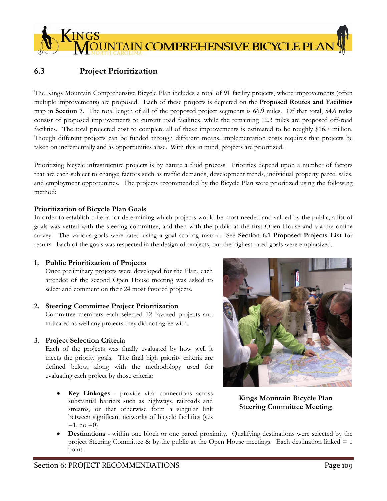# **6.3 Project Prioritization**

KINGS

The Kings Mountain Comprehensive Bicycle Plan includes a total of 91 facility projects, where improvements (often multiple improvements) are proposed. Each of these projects is depicted on the **Proposed Routes and Facilities**  map in **Section 7**.The total length of all of the proposed project segments is 66.9 miles. Of that total, 54.6 miles consist of proposed improvements to current road facilities, while the remaining 12.3 miles are proposed off-road facilities. The total projected cost to complete all of these improvements is estimated to be roughly \$16.7 million. Though different projects can be funded through different means, implementation costs requires that projects be taken on incrementally and as opportunities arise. With this in mind, projects are prioritized.

s<br>DUNTAIN COMPREHENSIVE BICYCLE PLAN

Prioritizing bicycle infrastructure projects is by nature a fluid process. Priorities depend upon a number of factors that are each subject to change; factors such as traffic demands, development trends, individual property parcel sales, and employment opportunities. The projects recommended by the Bicycle Plan were prioritized using the following method:

### **Prioritization of Bicycle Plan Goals**

In order to establish criteria for determining which projects would be most needed and valued by the public, a list of goals was vetted with the steering committee, and then with the public at the first Open House and via the online survey. The various goals were rated using a goal scoring matrix. See **Section 6.1 Proposed Projects List** for results. Each of the goals was respected in the design of projects, but the highest rated goals were emphasized.

## **1. Public Prioritization of Projects**

Once preliminary projects were developed for the Plan, each attendee of the second Open House meeting was asked to select and comment on their 24 most favored projects.

## **2. Steering Committee Project Prioritization**

Committee members each selected 12 favored projects and indicated as well any projects they did not agree with.

## **3. Project Selection Criteria**

Each of the projects was finally evaluated by how well it meets the priority goals. The final high priority criteria are defined below, along with the methodology used for evaluating each project by those criteria:

 **Key Linkages** - provide vital connections across substantial barriers such as highways, railroads and streams, or that otherwise form a singular link between significant networks of bicycle facilities (yes  $=1$ , no  $=0$ )



**Kings Mountain Bicycle Plan Steering Committee Meeting** 

 **Destinations** - within one block or one parcel proximity. Qualifying destinations were selected by the project Steering Committee & by the public at the Open House meetings. Each destination linked = 1 point.